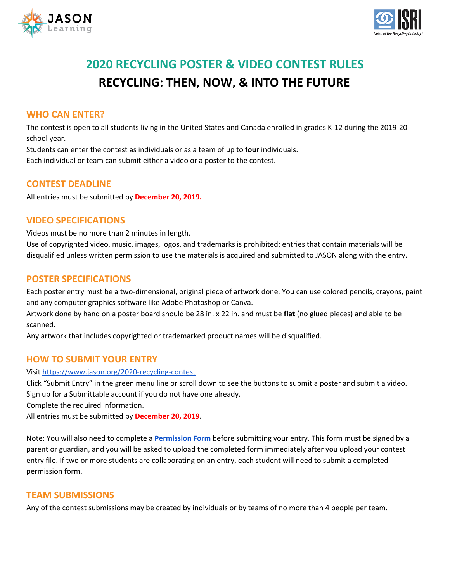



# **2020 RECYCLING POSTER & VIDEO CONTEST RULES RECYCLING: THEN, NOW, & INTO THE FUTURE**

#### **WHO CAN ENTER?**

The contest is open to all students living in the United States and Canada enrolled in grades K-12 during the 2019-20 school year.

Students can enter the contest as individuals or as a team of up to **four** individuals.

Each individual or team can submit either a video or a poster to the contest.

# **CONTEST DEADLINE**

All entries must be submitted by **December 20, 2019.**

#### **VIDEO SPECIFICATIONS**

Videos must be no more than 2 minutes in length.

Use of copyrighted video, music, images, logos, and trademarks is prohibited; entries that contain materials will be disqualified unless written permission to use the materials is acquired and submitted to JASON along with the entry.

# **POSTER SPECIFICATIONS**

Each poster entry must be a two-dimensional, original piece of artwork done. You can use colored pencils, crayons, paint and any computer graphics software like Adobe Photoshop or Canva.

Artwork done by hand on a poster board should be 28 in. x 22 in. and must be **flat** (no glued pieces) and able to be scanned.

Any artwork that includes copyrighted or trademarked product names will be disqualified.

# **HOW TO SUBMIT YOUR ENTRY**

#### Visit <https://www.jason.org/2020-recycling-contest>

Click "Submit Entry" in the green menu line or scroll down to see the buttons to submit a poster and submit a video. Sign up for a Submittable account if you do not have one already.

Complete the required information.

All entries must be submitted by **December 20, 2019**.

Note: You will also need to complete a **[Permission](https://www.jason.org/wp-content/uploads/2017/03/JASON_contest_entry_permission_form.pdf) Form** before submitting your entry. This form must be signed by a parent or guardian, and you will be asked to upload the completed form immediately after you upload your contest entry file. If two or more students are collaborating on an entry, each student will need to submit a completed permission form.

#### **TEAM SUBMISSIONS**

Any of the contest submissions may be created by individuals or by teams of no more than 4 people per team.